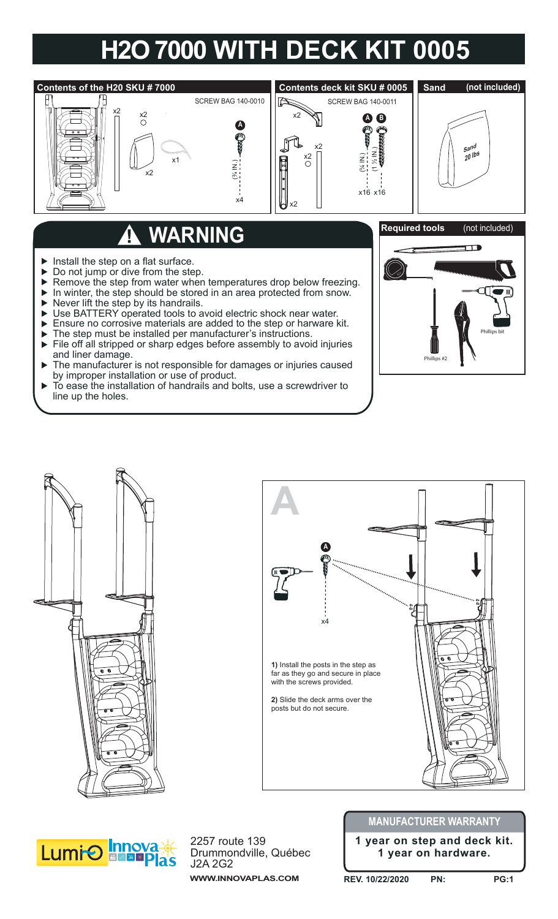## **H2O 7000 WITH DECK KIT 0005**



## **WARNING**

- $\blacktriangleright$  Install the step on a flat surface.
- ▶ Do not jump or dive from the step.
- Remove the step from water when temperatures drop below freezing.  $\blacktriangleright$
- In winter, the step should be stored in an area protected from snow.  $\blacktriangleright$
- $\blacktriangleright$  Never lift the step by its handrails.
- Use BATTERY operated tools to avoid electric shock near water.  $\blacktriangleright$
- Ensure no corrosive materials are added to the step or harware kit.
- The step must be installed per manufacturer's instructions.
- File off all stripped or sharp edges before assembly to avoid injuries and liner damage.
- The manufacturer is not responsible for damages or injuries caused ь by improper installation or use of product.
- b To ease the installation of handrails and bolts, use a screwdriver to line up the holes.









2257 route 139 Drummondville, Québec J2A 2G2 **WWW.INNOVAPLAS.COM**

## **MANUFACTURER WARRANTY**

**1 year on step and deck kit. 1 year on hardware.**